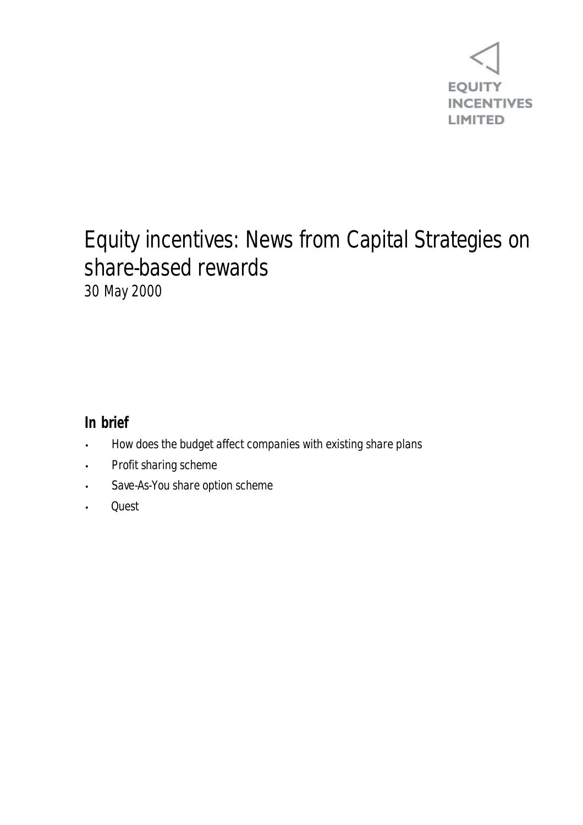

### Equity incentives: News from Capital Strategies on share-based rewards 30 May 2000

### **In brief**

- How does the budget affect companies with existing share plans
- Profit sharing scheme
- Save-As-You share option scheme
- Quest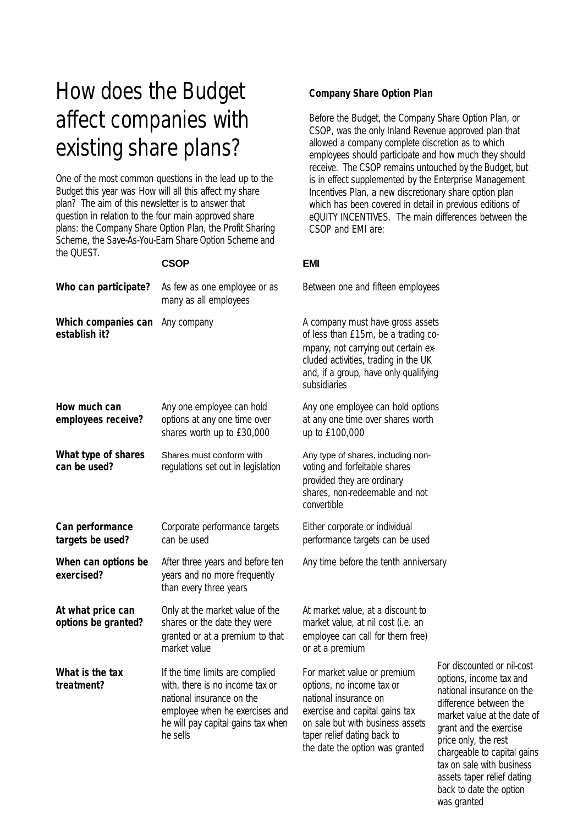# How does the Budget affect companies with existing share plans?

One of the most common questions in the lead up to the Budget this year was *How will all this affect my share plan?* The aim of this newsletter is to answer that question in relation to the four main approved share plans: the Company Share Option Plan, the Profit Sharing Scheme, the Save-As-You-Earn Share Option Scheme and the QUEST.

#### **CSOP EMI**

| As few as one employee or as<br>many as all employees                                                                                                                               | Between one and fifteen emp                                                                                                                                                                                          |
|-------------------------------------------------------------------------------------------------------------------------------------------------------------------------------------|----------------------------------------------------------------------------------------------------------------------------------------------------------------------------------------------------------------------|
| Any company                                                                                                                                                                         | A company must have gross<br>of less than £15m, be a tradi<br>mpany, not carrying out certa<br>cluded activities, trading in the<br>and, if a group, have only qua<br>subsidiaries                                   |
| Any one employee can hold<br>options at any one time over<br>shares worth up to £30,000                                                                                             | Any one employee can hold o<br>at any one time over shares v<br>up to £100,000                                                                                                                                       |
| Shares must conform with<br>regulations set out in legislation                                                                                                                      | Any type of shares, including<br>voting and forfeitable shares<br>provided they are ordinary<br>shares, non-redeemable and<br>convertible                                                                            |
| Corporate performance targets<br>can be used                                                                                                                                        | Either corporate or individual<br>performance targets can be u                                                                                                                                                       |
| After three years and before ten<br>years and no more frequently<br>than every three years                                                                                          | Any time before the tenth anr                                                                                                                                                                                        |
| Only at the market value of the<br>shares or the date they were<br>granted or at a premium to that<br>market value                                                                  | At market value, at a discount<br>market value, at nil cost (i.e.<br>employee can call for them fr<br>or at a premium                                                                                                |
| If the time limits are complied<br>with, there is no income tax or<br>national insurance on the<br>employee when he exercises and<br>he will pay capital gains tax when<br>he sells | For market value or premium<br>options, no income tax or<br>national insurance on<br>exercise and capital gains tax<br>on sale but with business ass<br>taper relief dating back to<br>the date the option was grant |
|                                                                                                                                                                                     |                                                                                                                                                                                                                      |

### **Company Share Option Plan**

Before the Budget, the Company Share Option Plan, or CSOP, was the only Inland Revenue approved plan that allowed a company complete discretion as to which employees should participate and how much they should receive. The CSOP remains untouched by the Budget, but is in effect supplemented by the Enterprise Management Incentives Plan, a new discretionary share option plan which has been covered in detail in previous editions of eQUITY INCENTIVES. The main differences between the CSOP and EMI are:

**Teen employees** 

**We gross assets** be a trading coout certain exding in the UK e only qualifying

an hold options **shares worth** 

**Including non**dinary able and not

can be used

tenth anniversary

a discount to cost (i.e. an or them free)

gains tax iness assets was granted

For discounted or nil-cost options, income tax and national insurance on the difference between the market value at the date of grant and the exercise price only, the rest chargeable to capital gains tax on sale with business assets taper relief dating back to date the option was granted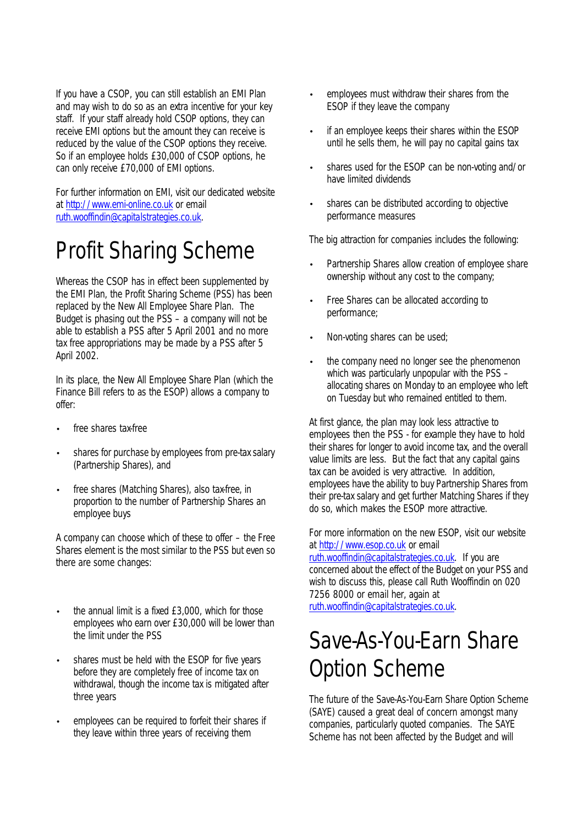If you have a CSOP, you can still establish an EMI Plan and may wish to do so as an extra incentive for your key staff. If your staff already hold CSOP options, they can receive EMI options but the amount they can receive is reduced by the value of the CSOP options they receive. So if an employee holds £30,000 of CSOP options, he can only receive £70,000 of EMI options.

For further information on EMI, visit our dedicated website at http://www.emi-online.co.uk or email ruth.wooffindin@capitalstrategies.co.uk.

### Profit Sharing Scheme

Whereas the CSOP has in effect been supplemented by the EMI Plan, the Profit Sharing Scheme (PSS) has been replaced by the New All Employee Share Plan. The Budget is phasing out the PSS – a company will not be able to establish a PSS after 5 April 2001 and no more tax free appropriations may be made by a PSS after 5 April 2002.

In its place, the New All Employee Share Plan (which the Finance Bill refers to as the ESOP) allows a company to offer:

- free shares tax-free
- shares for purchase by employees from pre-tax salary (Partnership Shares), and
- free shares (Matching Shares), also tax-free, in proportion to the number of Partnership Shares an employee buys

A company can choose which of these to offer – the Free Shares element is the most similar to the PSS but even so there are some changes:

- the annual limit is a fixed £3,000, which for those employees who earn over £30,000 will be lower than the limit under the PSS
- shares must be held with the ESOP for five years before they are completely free of income tax on withdrawal, though the income tax is mitigated after three years
- employees can be required to forfeit their shares if they leave within three years of receiving them
- employees must withdraw their shares from the ESOP if they leave the company
- if an employee keeps their shares within the ESOP until he sells them, he will pay no capital gains tax
- shares used for the ESOP can be non-voting and/or have limited dividends
- shares can be distributed according to objective performance measures

The big attraction for companies includes the following:

- Partnership Shares allow creation of employee share ownership without any cost to the company;
- Free Shares can be allocated according to performance;
- Non-voting shares can be used;
- the company need no longer see the phenomenon which was particularly unpopular with the PSS – allocating shares on Monday to an employee who left on Tuesday but who remained entitled to them.

At first glance, the plan may look less attractive to employees then the PSS - for example they have to hold their shares for longer to avoid income tax, and the overall value limits are less. But the fact that any capital gains tax can be avoided is very attractive. In addition, employees have the ability to buy Partnership Shares from their pre-tax salary and get further Matching Shares if they do so, which makes the ESOP more attractive.

For more information on the new ESOP, visit our website at http://www.esop.co.uk or email

ruth.wooffindin@capitalstrategies.co.uk. If you are concerned about the effect of the Budget on your PSS and wish to discuss this, please call Ruth Wooffindin on 020 7256 8000 or email her, again at ruth.wooffindin@capitalstrategies.co.uk.

### Save-As-You-Earn Share Option Scheme

The future of the Save-As-You-Earn Share Option Scheme (SAYE) caused a great deal of concern amongst many companies, particularly quoted companies. The SAYE Scheme has not been affected by the Budget and will